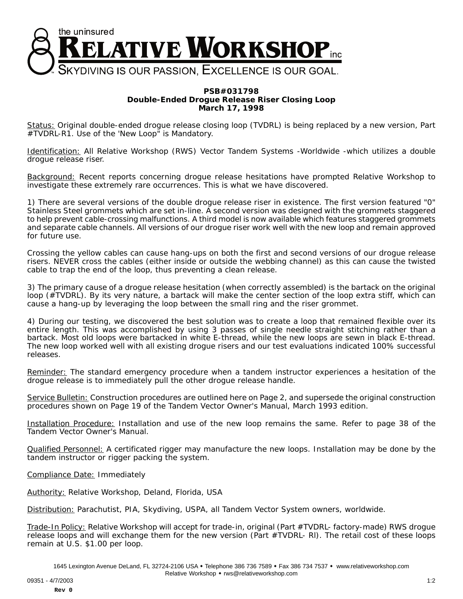

## **PSB#031798 Double-Ended Drogue Release Riser Closing Loop March 17, 1998**

Status: Original double-ended drogue release closing loop (TVDRL) is being replaced by a new version, Part #TVDRL-R1. Use of the 'New Loop" is Mandatory.

Identification: All Relative Workshop (RWS) Vector Tandem Systems -Worldwide -which utilizes a double drogue release riser.

Background: Recent reports concerning drogue release hesitations have prompted Relative Workshop to investigate these extremely rare occurrences. This is what we have discovered.

1) There are several versions of the double drogue release riser in existence. The first version featured "0" Stainless Steel grommets which are set in-line. A second version was designed with the grommets staggered to help prevent cable-crossing malfunctions. A third model is now available which features staggered grommets and separate cable channels. All versions of our drogue riser work well with the new loop and remain approved for future use.

Crossing the yellow cables can cause hang-ups on both the first and second versions of our drogue release risers. NEVER cross the cables (either inside or outside the webbing channel) as this can cause the twisted cable to trap the end of the loop, thus preventing a clean release.

3) The primary cause of a drogue release hesitation (when correctly assembled) is the bartack on the original loop (#TVDRL). By its very nature, a bartack will make the center section of the loop extra stiff, which can cause a hang-up by leveraging the loop between the small ring and the riser grommet.

4) During our testing, we discovered the best solution was to create a loop that remained flexible over its entire length. This was accomplished by using 3 passes of single needle straight stitching rather than a bartack. Most old loops were bartacked in white E-thread, while the new loops are sewn in black E-thread. The new loop worked well with all existing drogue risers and our test evaluations indicated 100% successful releases.

Reminder: The standard emergency procedure when a tandem instructor experiences a hesitation of the drogue release is to immediately pull the other drogue release handle.

Service Bulletin: Construction procedures are outlined here on Page 2, and supersede the original construction procedures shown on Page 19 of the Tandem Vector Owner's Manual, March 1993 edition.

Installation Procedure: Installation and use of the new loop remains the same. Refer to page 38 of the Tandem Vector Owner's Manual.

Qualified Personnel: A certificated rigger may manufacture the new loops. Installation may be done by the tandem instructor or rigger packing the system.

Compliance Date: Immediately

Authority: Relative Workshop, Deland, Florida, USA

Distribution: Parachutist, PIA, Skydiving, USPA, all Tandem Vector System owners, worldwide.

Trade-In Policy: Relative Workshop will accept for trade-in, original (Part #TVDRL- factory-made) RWS drogue release loops and will exchange them for the new version (Part #TVDRL- Rl). The retail cost of these loops remain at U.S. \$1.00 per loop.